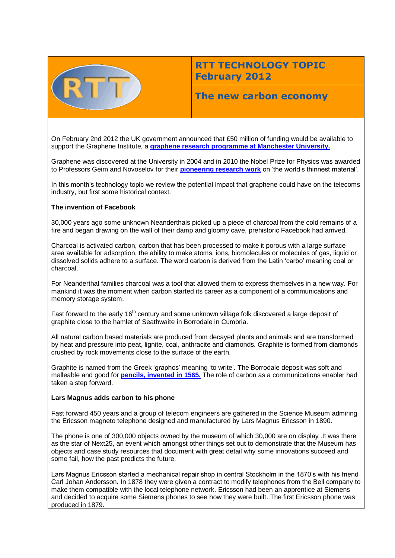

# **RTT TECHNOLOGY TOPIC February 2012**

## **The new carbon economy**

On February 2nd 2012 the UK government announced that £50 million of funding would be available to support the Graphene Institute, a **[graphene research programme at Manchester University.](http://www.graphene.manchester.ac.uk/research/centres-groups/)**

Graphene was discovered at the University in 2004 and in 2010 the Nobel Prize for Physics was awarded to Professors Geim and Novoselov for their **[pioneering research work](http://www.manchester.ac.uk/aboutus/news/display/?id=6192)** on 'the world's thinnest material'.

In this month's technology topic we review the potential impact that graphene could have on the telecoms industry, but first some historical context.

#### **The invention of Facebook**

30,000 years ago some unknown Neanderthals picked up a piece of charcoal from the cold remains of a fire and began drawing on the wall of their damp and gloomy cave, prehistoric Facebook had arrived.

Charcoal is activated carbon, carbon that has been processed to make it porous with a large surface area available for adsorption, the ability to make atoms, ions, biomolecules or molecules of gas, liquid or dissolved solids adhere to a surface. The word carbon is derived from the Latin 'carbo' meaning coal or charcoal.

For Neanderthal families charcoal was a tool that allowed them to express themselves in a new way. For mankind it was the moment when carbon started its career as a component of a communications and memory storage system.

Fast forward to the early 16<sup>th</sup> century and some unknown village folk discovered a large deposit of graphite close to the hamlet of Seathwaite in Borrodale in Cumbria.

All natural carbon based materials are produced from decayed plants and animals and are transformed by heat and pressure into peat, lignite, coal, anthracite and diamonds. Graphite is formed from diamonds crushed by rock movements close to the surface of the earth.

Graphite is named from the Greek 'graphos' meaning 'to write'. The Borrodale deposit was soft and malleable and good for **[pencils, invented in 1565.](http://www.pencilpages.com/misc/faq.htm)** The role of carbon as a communications enabler had taken a step forward.

#### **Lars Magnus adds carbon to his phone**

Fast forward 450 years and a group of telecom engineers are gathered in the Science Museum admiring the Ericsson magneto telephone designed and manufactured by Lars Magnus Ericsson in 1890.

The phone is one of 300,000 objects owned by the museum of which 30,000 are on display .It was there as the star of Next25, an event which amongst other things set out to demonstrate that the Museum has objects and case study resources that document with great detail why some innovations succeed and some fail, how the past predicts the future.

Lars Magnus Ericsson started a mechanical repair shop in central Stockholm in the 1870's with his friend Carl Johan Andersson. In 1878 they were given a contract to modify telephones from the Bell company to make them compatible with the local telephone network. Ericsson had been an apprentice at Siemens and decided to acquire some Siemens phones to see how they were built. The first Ericsson phone was produced in 1879.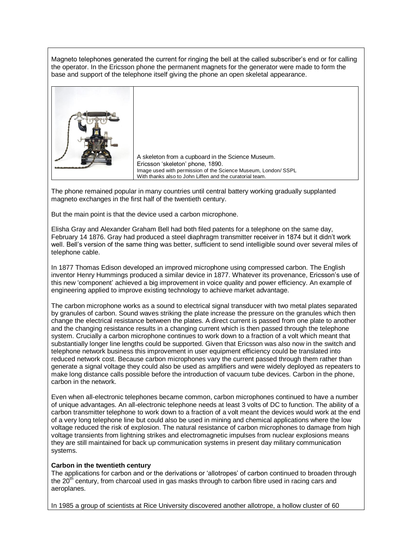Magneto telephones generated the current for ringing the bell at the called subscriber's end or for calling the operator. In the Ericsson phone the permanent magnets for the generator were made to form the base and support of the telephone itself giving the phone an open skeletal appearance.



A skeleton from a cupboard in the Science Museum. Ericsson 'skeleton' phone, 1890. Image used with permission of the Science Museum, London/ SSPL With thanks also to John Liffen and the curatorial team.

The phone remained popular in many countries until central battery working gradually supplanted magneto exchanges in the first half of the twentieth century.

But the main point is that the device used a carbon microphone.

Elisha Gray and Alexander Graham Bell had both filed patents for a telephone on the same day, February 14 1876. Gray had produced a steel diaphragm transmitter receiver in 1874 but it didn't work well. Bell's version of the same thing was better, sufficient to send intelligible sound over several miles of telephone cable.

In 1877 Thomas Edison developed an improved microphone using compressed carbon. The English inventor Henry Hummings produced a similar device in 1877. Whatever its provenance, Ericsson's use of this new 'component' achieved a big improvement in voice quality and power efficiency. An example of engineering applied to improve existing technology to achieve market advantage.

The carbon microphone works as a sound to electrical signal transducer with two metal plates separated by granules of carbon. Sound waves striking the plate increase the pressure on the granules which then change the electrical resistance between the plates. A direct current is passed from one plate to another and the changing resistance results in a changing current which is then passed through the telephone system. Crucially a carbon microphone continues to work down to a fraction of a volt which meant that substantially longer line lengths could be supported. Given that Ericsson was also now in the switch and telephone network business this improvement in user equipment efficiency could be translated into reduced network cost. Because carbon microphones vary the current passed through them rather than generate a signal voltage they could also be used as amplifiers and were widely deployed as repeaters to make long distance calls possible before the introduction of vacuum tube devices. Carbon in the phone, carbon in the network.

Even when all-electronic telephones became common, carbon microphones continued to have a number of unique advantages. An all-electronic telephone needs at least 3 volts of DC to function. The ability of a carbon transmitter telephone to work down to a fraction of a volt meant the devices would work at the end of a very long telephone line but could also be used in mining and chemical applications where the low voltage reduced the risk of explosion. The natural resistance of carbon microphones to damage from high voltage transients from lightning strikes and electromagnetic impulses from nuclear explosions means they are still maintained for back up communication systems in present day military communication systems.

#### **Carbon in the twentieth century**

The applications for carbon and or the derivations or 'allotropes' of carbon continued to broaden through the  $20<sup>th</sup>$  century, from charcoal used in gas masks through to carbon fibre used in racing cars and aeroplanes.

In 1985 a group of scientists at Rice University discovered another allotrope, a hollow cluster of 60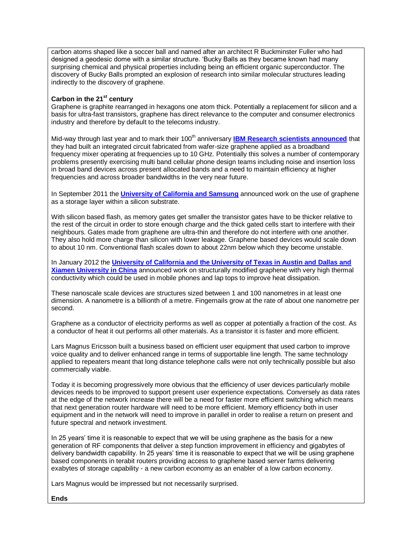carbon atoms shaped like a soccer ball and named after an architect R Buckminster Fuller who had designed a geodesic dome with a similar structure. 'Bucky Balls as they became known had many surprising chemical and physical properties including being an efficient organic superconductor. The discovery of Bucky Balls prompted an explosion of research into similar molecular structures leading indirectly to the discovery of graphene.

### **Carbon in the 21st century**

Graphene is graphite rearranged in hexagons one atom thick. Potentially a replacement for silicon and a basis for ultra-fast transistors, graphene has direct relevance to the computer and consumer electronics industry and therefore by default to the telecoms industry.

Mid-way through last year and to mark their 100<sup>th</sup> anniversary **[IBM Research scientists announced](http://www-03.ibm.com/press/uk/en/pressrelease/34741.wss)** that they had built an integrated circuit fabricated from wafer-size graphene applied as a broadband frequency mixer operating at frequencies up to 10 GHz. Potentially this solves a number of contemporary problems presently exercising multi band cellular phone design teams including noise and insertion loss in broad band devices across present allocated bands and a need to maintain efficiency at higher frequencies and across broader bandwidths in the very near future.

In September 2011 the **[University of California and Samsung](http://www.newelectronics.co.uk/electronics-news/researchers-developing-graphene-based-flash-memory/36548)** announced work on the use of graphene as a storage layer within a silicon substrate.

With silicon based flash, as memory gates get smaller the transistor gates have to be thicker relative to the rest of the circuit in order to store enough charge and the thick gated cells start to interfere with their neighbours. Gates made from graphene are ultra-thin and therefore do not interfere with one another. They also hold more charge than silicon with lower leakage. Graphene based devices would scale down to about 10 nm. Conventional flash scales down to about 22nm below which they become unstable.

In January 2012 the **[University of California and the University of Texas in Austin and Dallas and](http://www.cellular-news.com/story/52533.php)  [Xiamen University in China](http://www.cellular-news.com/story/52533.php)** announced work on structurally modified graphene with very high thermal conductivity which could be used in mobile phones and lap tops to improve heat dissipation.

These nanoscale scale devices are structures sized between 1 and 100 nanometres in at least one dimension. A nanometre is a billionth of a metre. Fingernails grow at the rate of about one nanometre per second.

Graphene as a conductor of electricity performs as well as copper at potentially a fraction of the cost. As a conductor of heat it out performs all other materials. As a transistor it is faster and more efficient.

Lars Magnus Ericsson built a business based on efficient user equipment that used carbon to improve voice quality and to deliver enhanced range in terms of supportable line length. The same technology applied to repeaters meant that long distance telephone calls were not only technically possible but also commercially viable.

Today it is becoming progressively more obvious that the efficiency of user devices particularly mobile devices needs to be improved to support present user experience expectations. Conversely as data rates at the edge of the network increase there will be a need for faster more efficient switching which means that next generation router hardware will need to be more efficient. Memory efficiency both in user equipment and in the network will need to improve in parallel in order to realise a return on present and future spectral and network investment.

In 25 years' time it is reasonable to expect that we will be using graphene as the basis for a new generation of RF components that deliver a step function improvement in efficiency and gigabytes of delivery bandwidth capability. In 25 years' time it is reasonable to expect that we will be using graphene based components in terabit routers providing access to graphene based server farms delivering exabytes of storage capability - a new carbon economy as an enabler of a low carbon economy.

Lars Magnus would be impressed but not necessarily surprised.

#### **Ends**